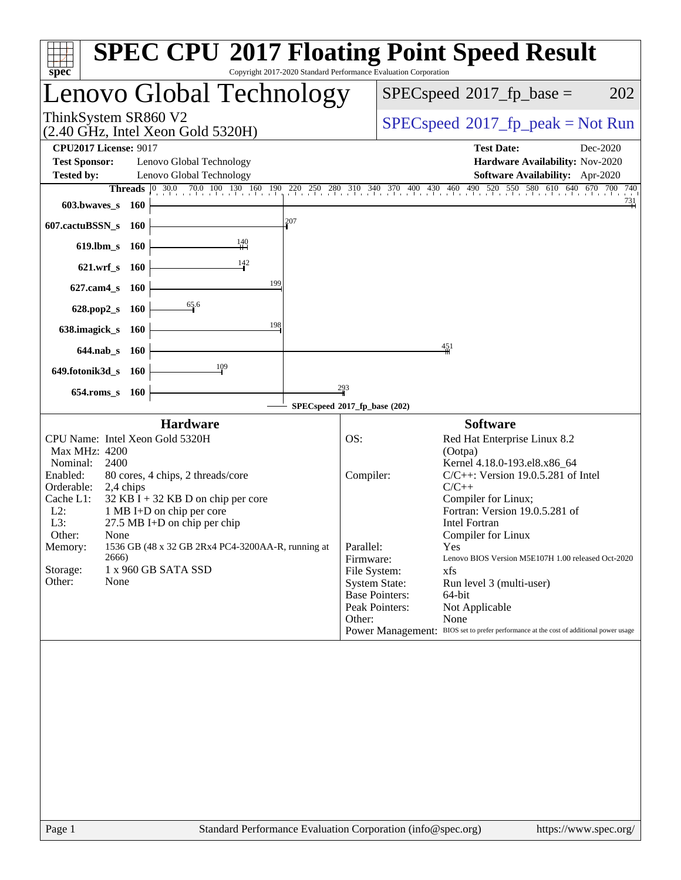| $spec^*$                                                                                                                                                                                                                                                                                                                                                                                                                                                 | <b>SPEC CPU®2017 Floating Point Speed Result</b><br>Copyright 2017-2020 Standard Performance Evaluation Corporation                                                                                                                                                                                                                                                                                                                                                                                                                                                                                                     |
|----------------------------------------------------------------------------------------------------------------------------------------------------------------------------------------------------------------------------------------------------------------------------------------------------------------------------------------------------------------------------------------------------------------------------------------------------------|-------------------------------------------------------------------------------------------------------------------------------------------------------------------------------------------------------------------------------------------------------------------------------------------------------------------------------------------------------------------------------------------------------------------------------------------------------------------------------------------------------------------------------------------------------------------------------------------------------------------------|
| Lenovo Global Technology                                                                                                                                                                                                                                                                                                                                                                                                                                 | 202<br>$SPEC speed^{\circ}2017\_fp\_base =$                                                                                                                                                                                                                                                                                                                                                                                                                                                                                                                                                                             |
| ThinkSystem SR860 V2<br>$(2.40 \text{ GHz}, \text{Intel Xeon Gold } 5320\text{H})$                                                                                                                                                                                                                                                                                                                                                                       | $SPEC speed^{\circ}2017\_fp\_peak = Not Run$                                                                                                                                                                                                                                                                                                                                                                                                                                                                                                                                                                            |
| <b>CPU2017 License: 9017</b><br><b>Test Sponsor:</b><br>Lenovo Global Technology<br><b>Tested by:</b><br>Lenovo Global Technology                                                                                                                                                                                                                                                                                                                        | <b>Test Date:</b><br>Dec-2020<br>Hardware Availability: Nov-2020<br>Software Availability: Apr-2020<br>Threads 0 300 700 100 130 160 190 220 250 280 310 340 370 400 430 460 490 520 550 580 610 640 670 700 740                                                                                                                                                                                                                                                                                                                                                                                                        |
| 603.bwayes s 160<br>207<br>607.cactuBSSN_s 160<br>$\frac{140}{11}$<br>619.lbm_s 160<br>142<br>$621.wrf$ <sub>S</sub><br>- 160<br>199<br>$627$ .cam $4$ <sub>S</sub><br>- 160<br>65.6<br>628.pop2_s<br>- 160<br>198<br>638.imagick_s<br><b>160</b><br>644.nab s 160<br>$\frac{109}{2}$<br>649.fotonik3d_s 160                                                                                                                                             | $\frac{731}{ }$<br>451                                                                                                                                                                                                                                                                                                                                                                                                                                                                                                                                                                                                  |
| 654.roms s 160                                                                                                                                                                                                                                                                                                                                                                                                                                           | 293                                                                                                                                                                                                                                                                                                                                                                                                                                                                                                                                                                                                                     |
|                                                                                                                                                                                                                                                                                                                                                                                                                                                          | SPECspeed®2017_fp_base (202)                                                                                                                                                                                                                                                                                                                                                                                                                                                                                                                                                                                            |
| <b>Hardware</b><br>CPU Name: Intel Xeon Gold 5320H<br>Max MHz: 4200<br>Nominal:<br>2400<br>Enabled:<br>80 cores, 4 chips, 2 threads/core<br>Orderable:<br>2,4 chips<br>Cache L1:<br>$32$ KB I + 32 KB D on chip per core<br>$L2$ :<br>1 MB I+D on chip per core<br>L3:<br>$27.5$ MB I+D on chip per chip<br>Other:<br>None<br>1536 GB (48 x 32 GB 2Rx4 PC4-3200AA-R, running at<br>Memory:<br>2666)<br>Storage:<br>1 x 960 GB SATA SSD<br>Other:<br>None | <b>Software</b><br>OS:<br>Red Hat Enterprise Linux 8.2<br>(Ootpa)<br>Kernel 4.18.0-193.el8.x86_64<br>Compiler:<br>$C/C++$ : Version 19.0.5.281 of Intel<br>$C/C++$<br>Compiler for Linux;<br>Fortran: Version 19.0.5.281 of<br>Intel Fortran<br>Compiler for Linux<br>Parallel:<br>Yes<br>Firmware:<br>Lenovo BIOS Version M5E107H 1.00 released Oct-2020<br>File System:<br>xfs<br><b>System State:</b><br>Run level 3 (multi-user)<br><b>Base Pointers:</b><br>64-bit<br>Peak Pointers:<br>Not Applicable<br>None<br>Other:<br>Power Management: BIOS set to prefer performance at the cost of additional power usage |
|                                                                                                                                                                                                                                                                                                                                                                                                                                                          |                                                                                                                                                                                                                                                                                                                                                                                                                                                                                                                                                                                                                         |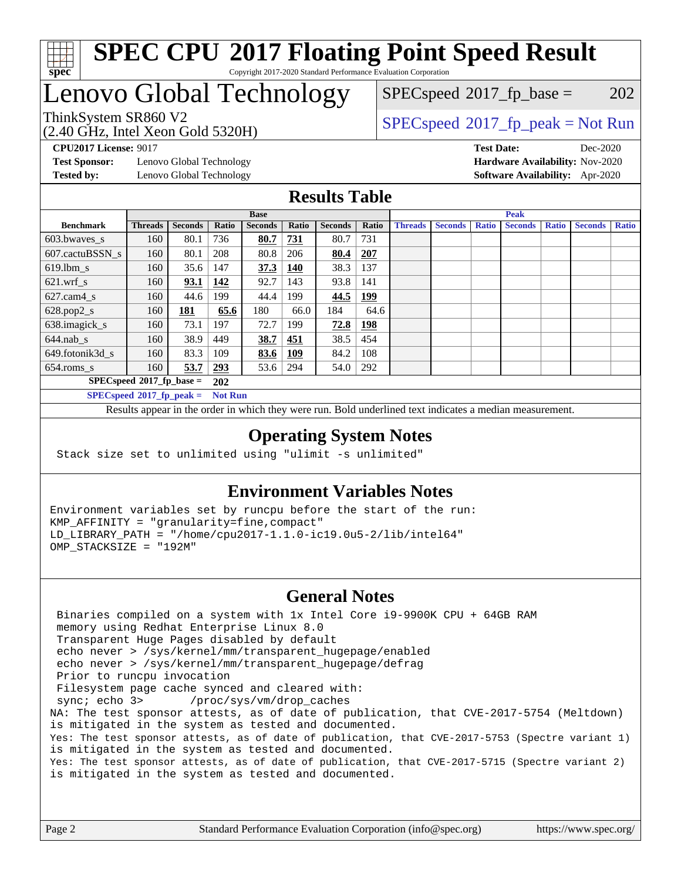

### Lenovo Global Technology

 $SPECspeed^{\circledcirc}2017_fp\_base = 202$  $SPECspeed^{\circledcirc}2017_fp\_base = 202$ 

(2.40 GHz, Intel Xeon Gold 5320H)

ThinkSystem SR860 V2  $\begin{array}{c} \text{SPEC speed} \textdegree 2017 \text{ fp\_peak} = \text{Not Run} \end{array}$ 

**[Test Sponsor:](http://www.spec.org/auto/cpu2017/Docs/result-fields.html#TestSponsor)** Lenovo Global Technology **[Hardware Availability:](http://www.spec.org/auto/cpu2017/Docs/result-fields.html#HardwareAvailability)** Nov-2020 **[Tested by:](http://www.spec.org/auto/cpu2017/Docs/result-fields.html#Testedby)** Lenovo Global Technology **[Software Availability:](http://www.spec.org/auto/cpu2017/Docs/result-fields.html#SoftwareAvailability)** Apr-2020

**[CPU2017 License:](http://www.spec.org/auto/cpu2017/Docs/result-fields.html#CPU2017License)** 9017 **[Test Date:](http://www.spec.org/auto/cpu2017/Docs/result-fields.html#TestDate)** Dec-2020

#### **[Results Table](http://www.spec.org/auto/cpu2017/Docs/result-fields.html#ResultsTable)**

|                             | <b>Base</b>                 |                |                |                | <b>Peak</b> |                |            |                |                |              |                |              |                |              |
|-----------------------------|-----------------------------|----------------|----------------|----------------|-------------|----------------|------------|----------------|----------------|--------------|----------------|--------------|----------------|--------------|
| <b>Benchmark</b>            | <b>Threads</b>              | <b>Seconds</b> | Ratio          | <b>Seconds</b> | Ratio       | <b>Seconds</b> | Ratio      | <b>Threads</b> | <b>Seconds</b> | <b>Ratio</b> | <b>Seconds</b> | <b>Ratio</b> | <b>Seconds</b> | <b>Ratio</b> |
| 603.bwayes s                | 160                         | 80.1           | 736            | 80.7           | 731         | 80.7           | 731        |                |                |              |                |              |                |              |
| 607.cactuBSSN s             | 160                         | 80.1           | 208            | 80.8           | 206         | 80.4           | <b>207</b> |                |                |              |                |              |                |              |
| $619.$ lbm_s                | 160                         | 35.6           | 147            | 37.3           | 140         | 38.3           | 137        |                |                |              |                |              |                |              |
| $621.wrf$ s                 | 160                         | 93.1           | 142            | 92.7           | 143         | 93.8           | 141        |                |                |              |                |              |                |              |
| $627$ .cam $4$ <sub>s</sub> | 160                         | 44.6           | 199            | 44.4           | 199         | 44.5           | <u>199</u> |                |                |              |                |              |                |              |
| $628.pop2_s$                | 160                         | 181            | 65.6           | 180            | 66.0        | 184            | 64.6       |                |                |              |                |              |                |              |
| 638.imagick_s               | 160                         | 73.1           | 197            | 72.7           | 199         | 72.8           | 198        |                |                |              |                |              |                |              |
| $644$ .nab s                | 160                         | 38.9           | 449            | 38.7           | 451         | 38.5           | 454        |                |                |              |                |              |                |              |
| 649.fotonik3d_s             | 160                         | 83.3           | 109            | 83.6           | <u>109</u>  | 84.2           | 108        |                |                |              |                |              |                |              |
| $654$ .roms s               | 160                         | 53.7           | 293            | 53.6           | 294         | 54.0           | 292        |                |                |              |                |              |                |              |
|                             | $SPECspeed*2017_fp\_base =$ |                | 202            |                |             |                |            |                |                |              |                |              |                |              |
| $SPECspeed*2017_fp\_peak =$ |                             |                | <b>Not Run</b> |                |             |                |            |                |                |              |                |              |                |              |

Results appear in the [order in which they were run.](http://www.spec.org/auto/cpu2017/Docs/result-fields.html#RunOrder) Bold underlined text [indicates a median measurement](http://www.spec.org/auto/cpu2017/Docs/result-fields.html#Median).

#### **[Operating System Notes](http://www.spec.org/auto/cpu2017/Docs/result-fields.html#OperatingSystemNotes)**

Stack size set to unlimited using "ulimit -s unlimited"

#### **[Environment Variables Notes](http://www.spec.org/auto/cpu2017/Docs/result-fields.html#EnvironmentVariablesNotes)**

Environment variables set by runcpu before the start of the run: KMP\_AFFINITY = "granularity=fine,compact" LD\_LIBRARY\_PATH = "/home/cpu2017-1.1.0-ic19.0u5-2/lib/intel64" OMP\_STACKSIZE = "192M"

#### **[General Notes](http://www.spec.org/auto/cpu2017/Docs/result-fields.html#GeneralNotes)**

 Binaries compiled on a system with 1x Intel Core i9-9900K CPU + 64GB RAM memory using Redhat Enterprise Linux 8.0 Transparent Huge Pages disabled by default echo never > /sys/kernel/mm/transparent\_hugepage/enabled echo never > /sys/kernel/mm/transparent\_hugepage/defrag Prior to runcpu invocation Filesystem page cache synced and cleared with: sync; echo 3> /proc/sys/vm/drop\_caches NA: The test sponsor attests, as of date of publication, that CVE-2017-5754 (Meltdown) is mitigated in the system as tested and documented. Yes: The test sponsor attests, as of date of publication, that CVE-2017-5753 (Spectre variant 1) is mitigated in the system as tested and documented. Yes: The test sponsor attests, as of date of publication, that CVE-2017-5715 (Spectre variant 2) is mitigated in the system as tested and documented.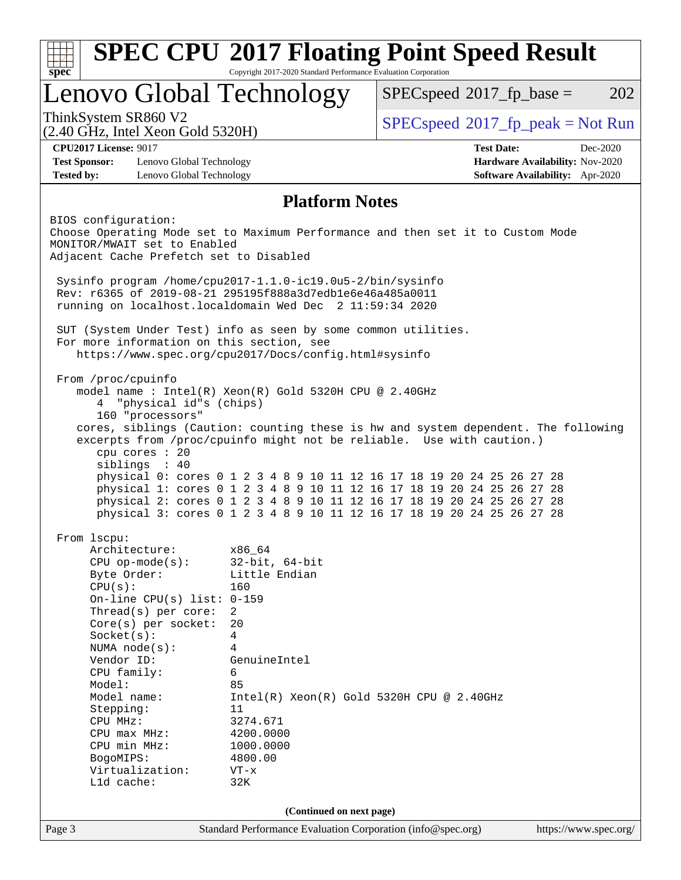| Lenovo Global Technology<br>ThinkSystem SR860 V2<br>(2.40 GHz, Intel Xeon Gold 5320H)<br><b>CPU2017 License: 9017</b><br><b>Test Sponsor:</b><br>Lenovo Global Technology<br><b>Tested by:</b><br>Lenovo Global Technology<br>BIOS configuration:<br>Choose Operating Mode set to Maximum Performance and then set it to Custom Mode<br>MONITOR/MWAIT set to Enabled | <b>Platform Notes</b>                                                              | <b>Test Date:</b> | $SPEC speed^{\circ}2017\_fp\_peak = Not Run$<br>Dec-2020<br>Hardware Availability: Nov-2020<br>Software Availability: Apr-2020 |
|----------------------------------------------------------------------------------------------------------------------------------------------------------------------------------------------------------------------------------------------------------------------------------------------------------------------------------------------------------------------|------------------------------------------------------------------------------------|-------------------|--------------------------------------------------------------------------------------------------------------------------------|
|                                                                                                                                                                                                                                                                                                                                                                      |                                                                                    |                   |                                                                                                                                |
|                                                                                                                                                                                                                                                                                                                                                                      |                                                                                    |                   |                                                                                                                                |
|                                                                                                                                                                                                                                                                                                                                                                      |                                                                                    |                   |                                                                                                                                |
|                                                                                                                                                                                                                                                                                                                                                                      |                                                                                    |                   |                                                                                                                                |
|                                                                                                                                                                                                                                                                                                                                                                      |                                                                                    |                   |                                                                                                                                |
|                                                                                                                                                                                                                                                                                                                                                                      |                                                                                    |                   |                                                                                                                                |
| Adjacent Cache Prefetch set to Disabled                                                                                                                                                                                                                                                                                                                              |                                                                                    |                   |                                                                                                                                |
| Sysinfo program /home/cpu2017-1.1.0-ic19.0u5-2/bin/sysinfo                                                                                                                                                                                                                                                                                                           |                                                                                    |                   |                                                                                                                                |
| Rev: r6365 of 2019-08-21 295195f888a3d7edble6e46a485a0011                                                                                                                                                                                                                                                                                                            |                                                                                    |                   |                                                                                                                                |
| running on localhost.localdomain Wed Dec 2 11:59:34 2020                                                                                                                                                                                                                                                                                                             |                                                                                    |                   |                                                                                                                                |
| SUT (System Under Test) info as seen by some common utilities.                                                                                                                                                                                                                                                                                                       |                                                                                    |                   |                                                                                                                                |
| For more information on this section, see                                                                                                                                                                                                                                                                                                                            |                                                                                    |                   |                                                                                                                                |
|                                                                                                                                                                                                                                                                                                                                                                      | https://www.spec.org/cpu2017/Docs/config.html#sysinfo                              |                   |                                                                                                                                |
| From /proc/cpuinfo                                                                                                                                                                                                                                                                                                                                                   |                                                                                    |                   |                                                                                                                                |
|                                                                                                                                                                                                                                                                                                                                                                      | model name: $Intel(R)$ Xeon $(R)$ Gold 5320H CPU @ 2.40GHz                         |                   |                                                                                                                                |
| "physical id"s (chips)<br>4                                                                                                                                                                                                                                                                                                                                          |                                                                                    |                   |                                                                                                                                |
| 160 "processors"                                                                                                                                                                                                                                                                                                                                                     | cores, siblings (Caution: counting these is hw and system dependent. The following |                   |                                                                                                                                |
|                                                                                                                                                                                                                                                                                                                                                                      | excerpts from /proc/cpuinfo might not be reliable. Use with caution.)              |                   |                                                                                                                                |
| cpu cores : 20                                                                                                                                                                                                                                                                                                                                                       |                                                                                    |                   |                                                                                                                                |
| siblings : 40                                                                                                                                                                                                                                                                                                                                                        | physical 0: cores 0 1 2 3 4 8 9 10 11 12 16 17 18 19 20 24 25 26 27 28             |                   |                                                                                                                                |
|                                                                                                                                                                                                                                                                                                                                                                      | physical 1: cores 0 1 2 3 4 8 9 10 11 12 16 17 18 19 20 24 25 26 27 28             |                   |                                                                                                                                |
|                                                                                                                                                                                                                                                                                                                                                                      | physical 2: cores 0 1 2 3 4 8 9 10 11 12 16 17 18 19 20 24 25 26 27 28             |                   |                                                                                                                                |
|                                                                                                                                                                                                                                                                                                                                                                      | physical 3: cores 0 1 2 3 4 8 9 10 11 12 16 17 18 19 20 24 25 26 27 28             |                   |                                                                                                                                |
| From 1scpu:                                                                                                                                                                                                                                                                                                                                                          |                                                                                    |                   |                                                                                                                                |
| Architecture:                                                                                                                                                                                                                                                                                                                                                        | x86_64                                                                             |                   |                                                                                                                                |
| $CPU$ op-mode( $s$ ):                                                                                                                                                                                                                                                                                                                                                | $32$ -bit, $64$ -bit                                                               |                   |                                                                                                                                |
| Byte Order:<br>CPU(s):                                                                                                                                                                                                                                                                                                                                               | Little Endian<br>160                                                               |                   |                                                                                                                                |
| On-line CPU(s) list: $0-159$                                                                                                                                                                                                                                                                                                                                         |                                                                                    |                   |                                                                                                                                |
| Thread(s) per core:                                                                                                                                                                                                                                                                                                                                                  | 2                                                                                  |                   |                                                                                                                                |
| Core(s) per socket:                                                                                                                                                                                                                                                                                                                                                  | 20                                                                                 |                   |                                                                                                                                |
| Socket(s):                                                                                                                                                                                                                                                                                                                                                           | $\overline{4}$                                                                     |                   |                                                                                                                                |
| NUMA $node(s):$<br>Vendor ID:                                                                                                                                                                                                                                                                                                                                        | 4<br>GenuineIntel                                                                  |                   |                                                                                                                                |
| CPU family:                                                                                                                                                                                                                                                                                                                                                          | 6                                                                                  |                   |                                                                                                                                |
| Model:                                                                                                                                                                                                                                                                                                                                                               | 85                                                                                 |                   |                                                                                                                                |
| Model name:                                                                                                                                                                                                                                                                                                                                                          | $Intel(R) Xeon(R) Gold 5320H CPU @ 2.40GHz$                                        |                   |                                                                                                                                |
| Stepping:                                                                                                                                                                                                                                                                                                                                                            | 11                                                                                 |                   |                                                                                                                                |
| CPU MHz:<br>$CPU$ max $MHz:$                                                                                                                                                                                                                                                                                                                                         | 3274.671<br>4200.0000                                                              |                   |                                                                                                                                |
| CPU min MHz:                                                                                                                                                                                                                                                                                                                                                         | 1000.0000                                                                          |                   |                                                                                                                                |
| BogoMIPS:                                                                                                                                                                                                                                                                                                                                                            | 4800.00                                                                            |                   |                                                                                                                                |
| Virtualization:                                                                                                                                                                                                                                                                                                                                                      | $VT - x$                                                                           |                   |                                                                                                                                |
| Lld cache:                                                                                                                                                                                                                                                                                                                                                           | 32K                                                                                |                   |                                                                                                                                |
|                                                                                                                                                                                                                                                                                                                                                                      | (Continued on next page)                                                           |                   |                                                                                                                                |
| Page 3                                                                                                                                                                                                                                                                                                                                                               | Standard Performance Evaluation Corporation (info@spec.org)                        |                   | https://www.spec.org/                                                                                                          |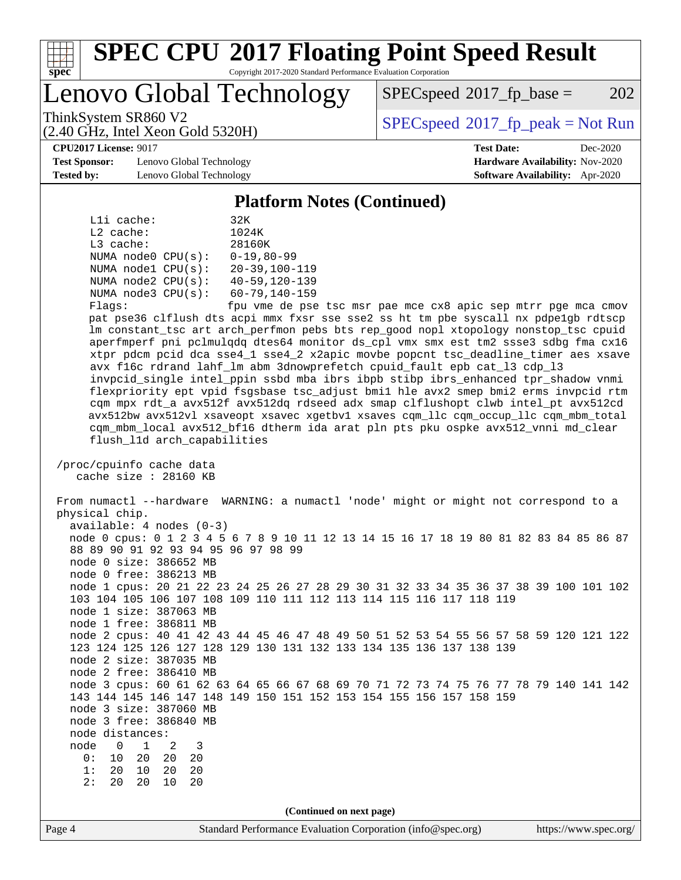

Lenovo Global Technology

 $SPEC speed^{\circ}2017\_fp\_base = 202$ 

(2.40 GHz, Intel Xeon Gold 5320H)

ThinkSystem SR860 V2  $\begin{array}{c} \text{SPEC speed} \textdegree 2017 \text{ fp\_peak} = \text{Not Run} \end{array}$ 

**[CPU2017 License:](http://www.spec.org/auto/cpu2017/Docs/result-fields.html#CPU2017License)** 9017 **[Test Date:](http://www.spec.org/auto/cpu2017/Docs/result-fields.html#TestDate)** Dec-2020

**[Test Sponsor:](http://www.spec.org/auto/cpu2017/Docs/result-fields.html#TestSponsor)** Lenovo Global Technology **[Hardware Availability:](http://www.spec.org/auto/cpu2017/Docs/result-fields.html#HardwareAvailability)** Nov-2020 **[Tested by:](http://www.spec.org/auto/cpu2017/Docs/result-fields.html#Testedby)** Lenovo Global Technology **[Software Availability:](http://www.spec.org/auto/cpu2017/Docs/result-fields.html#SoftwareAvailability)** Apr-2020

#### **[Platform Notes \(Continued\)](http://www.spec.org/auto/cpu2017/Docs/result-fields.html#PlatformNotes)**

| Lli cache:              | 32K                  |
|-------------------------|----------------------|
| $L2$ cache:             | 1024K                |
| $L3$ cache:             | 28160K               |
| NUMA $node0$ $CPU(s)$ : | $0 - 19.80 - 99$     |
| NUMA nodel CPU(s):      | $20 - 39, 100 - 119$ |
| NUMA $node2$ $CPU(s)$ : | $40 - 59, 120 - 139$ |
| NUMA $node3$ $CPU(s):$  | $60 - 79, 140 - 159$ |
| Flaqs:                  | fpu vme de pse       |

tsc msr pae mce cx8 apic sep mtrr pge mca cmov pat pse36 clflush dts acpi mmx fxsr sse sse2 ss ht tm pbe syscall nx pdpe1gb rdtscp lm constant\_tsc art arch\_perfmon pebs bts rep\_good nopl xtopology nonstop\_tsc cpuid aperfmperf pni pclmulqdq dtes64 monitor ds\_cpl vmx smx est tm2 ssse3 sdbg fma cx16 xtpr pdcm pcid dca sse4\_1 sse4\_2 x2apic movbe popcnt tsc\_deadline\_timer aes xsave avx f16c rdrand lahf\_lm abm 3dnowprefetch cpuid\_fault epb cat\_l3 cdp\_l3 invpcid\_single intel\_ppin ssbd mba ibrs ibpb stibp ibrs\_enhanced tpr\_shadow vnmi flexpriority ept vpid fsgsbase tsc\_adjust bmi1 hle avx2 smep bmi2 erms invpcid rtm cqm mpx rdt\_a avx512f avx512dq rdseed adx smap clflushopt clwb intel\_pt avx512cd avx512bw avx512vl xsaveopt xsavec xgetbv1 xsaves cqm\_llc cqm\_occup\_llc cqm\_mbm\_total cqm\_mbm\_local avx512\_bf16 dtherm ida arat pln pts pku ospke avx512\_vnni md\_clear flush\_l1d arch\_capabilities

 /proc/cpuinfo cache data cache size : 28160 KB

 From numactl --hardware WARNING: a numactl 'node' might or might not correspond to a physical chip. available: 4 nodes (0-3) node 0 cpus: 0 1 2 3 4 5 6 7 8 9 10 11 12 13 14 15 16 17 18 19 80 81 82 83 84 85 86 87 88 89 90 91 92 93 94 95 96 97 98 99 node 0 size: 386652 MB node 0 free: 386213 MB node 1 cpus: 20 21 22 23 24 25 26 27 28 29 30 31 32 33 34 35 36 37 38 39 100 101 102 103 104 105 106 107 108 109 110 111 112 113 114 115 116 117 118 119 node 1 size: 387063 MB

 node 1 free: 386811 MB node 2 cpus: 40 41 42 43 44 45 46 47 48 49 50 51 52 53 54 55 56 57 58 59 120 121 122 123 124 125 126 127 128 129 130 131 132 133 134 135 136 137 138 139 node 2 size: 387035 MB

 node 2 free: 386410 MB node 3 cpus: 60 61 62 63 64 65 66 67 68 69 70 71 72 73 74 75 76 77 78 79 140 141 142 143 144 145 146 147 148 149 150 151 152 153 154 155 156 157 158 159

node 3 size: 387060 MB

 node 3 free: 386840 MB node distances: node 0 1 2 3<br>0: 10 20 20 20

 0: 10 20 20 20 1: 20 10 20 20 2: 20 20 10 20

**(Continued on next page)**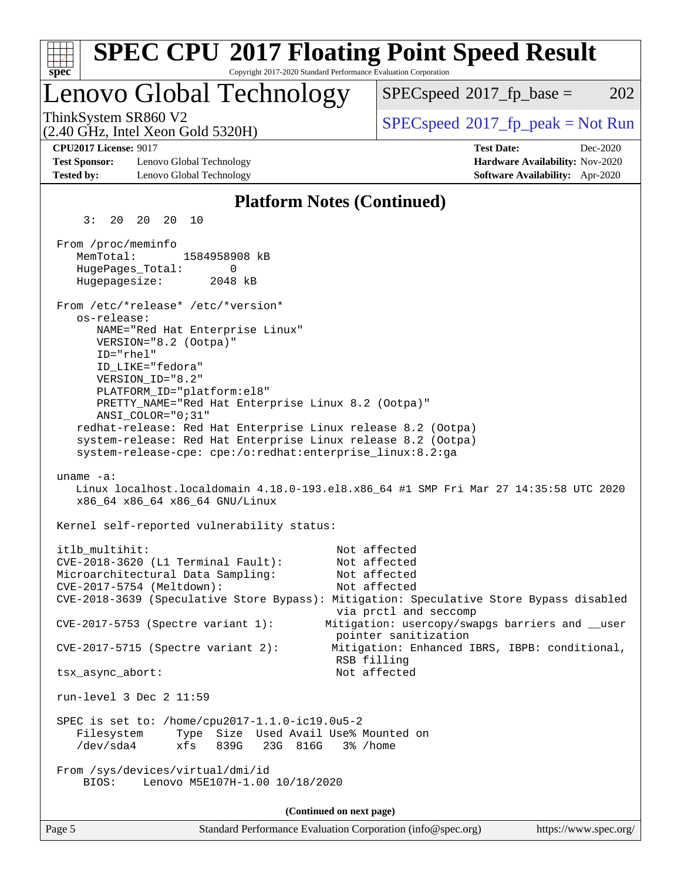| <b>SPEC CPU®2017 Floating Point Speed Result</b>                                                                                                                                                                                                                                                                                                                                                                                                                                                                                                                                                                                                                                                                                   |                                                                                                                                                                                                                   |
|------------------------------------------------------------------------------------------------------------------------------------------------------------------------------------------------------------------------------------------------------------------------------------------------------------------------------------------------------------------------------------------------------------------------------------------------------------------------------------------------------------------------------------------------------------------------------------------------------------------------------------------------------------------------------------------------------------------------------------|-------------------------------------------------------------------------------------------------------------------------------------------------------------------------------------------------------------------|
| Copyright 2017-2020 Standard Performance Evaluation Corporation<br>$spec^*$                                                                                                                                                                                                                                                                                                                                                                                                                                                                                                                                                                                                                                                        |                                                                                                                                                                                                                   |
| Lenovo Global Technology                                                                                                                                                                                                                                                                                                                                                                                                                                                                                                                                                                                                                                                                                                           | 202<br>$SPEC speed^{\circ}2017\_fp\_base =$                                                                                                                                                                       |
| ThinkSystem SR860 V2<br>$(2.40 \text{ GHz}, \text{Intel Xeon Gold } 5320\text{H})$                                                                                                                                                                                                                                                                                                                                                                                                                                                                                                                                                                                                                                                 | $SPEC speed^{\circ}2017\_fp\_peak = Not Run$                                                                                                                                                                      |
| <b>CPU2017 License: 9017</b><br><b>Test Sponsor:</b><br>Lenovo Global Technology<br><b>Tested by:</b><br>Lenovo Global Technology                                                                                                                                                                                                                                                                                                                                                                                                                                                                                                                                                                                                  | <b>Test Date:</b><br>Dec-2020<br>Hardware Availability: Nov-2020<br><b>Software Availability:</b> Apr-2020                                                                                                        |
| <b>Platform Notes (Continued)</b>                                                                                                                                                                                                                                                                                                                                                                                                                                                                                                                                                                                                                                                                                                  |                                                                                                                                                                                                                   |
| 3:<br>20 20 20<br>10                                                                                                                                                                                                                                                                                                                                                                                                                                                                                                                                                                                                                                                                                                               |                                                                                                                                                                                                                   |
| From /proc/meminfo<br>MemTotal:<br>1584958908 kB<br>HugePages_Total:<br>0<br>2048 kB<br>Hugepagesize:<br>From /etc/*release* /etc/*version*<br>os-release:<br>NAME="Red Hat Enterprise Linux"<br>VERSION="8.2 (Ootpa)"<br>ID="rhel"<br>ID_LIKE="fedora"<br>VERSION_ID="8.2"<br>PLATFORM_ID="platform:el8"<br>PRETTY_NAME="Red Hat Enterprise Linux 8.2 (Ootpa)"<br>$ANSI\_COLOR = "0; 31"$<br>redhat-release: Red Hat Enterprise Linux release 8.2 (Ootpa)<br>system-release: Red Hat Enterprise Linux release 8.2 (Ootpa)<br>system-release-cpe: cpe:/o:redhat:enterprise_linux:8.2:ga<br>uname $-a$ :<br>Linux localhost.localdomain 4.18.0-193.el8.x86_64 #1 SMP Fri Mar 27 14:35:58 UTC 2020<br>x86_64 x86_64 x86_64 GNU/Linux |                                                                                                                                                                                                                   |
| Kernel self-reported vulnerability status:                                                                                                                                                                                                                                                                                                                                                                                                                                                                                                                                                                                                                                                                                         |                                                                                                                                                                                                                   |
| itlb_multihit:<br>CVE-2018-3620 (L1 Terminal Fault):<br>Microarchitectural Data Sampling:<br>CVE-2017-5754 (Meltdown):<br>CVE-2018-3639 (Speculative Store Bypass): Mitigation: Speculative Store Bypass disabled<br>CVE-2017-5753 (Spectre variant 1):<br>$CVE-2017-5715$ (Spectre variant 2):<br>RSB filling                                                                                                                                                                                                                                                                                                                                                                                                                     | Not affected<br>Not affected<br>Not affected<br>Not affected<br>via prctl and seccomp<br>Mitigation: usercopy/swapgs barriers and __user<br>pointer sanitization<br>Mitigation: Enhanced IBRS, IBPB: conditional, |
| tsx_async_abort:                                                                                                                                                                                                                                                                                                                                                                                                                                                                                                                                                                                                                                                                                                                   | Not affected                                                                                                                                                                                                      |
| run-level 3 Dec 2 11:59                                                                                                                                                                                                                                                                                                                                                                                                                                                                                                                                                                                                                                                                                                            |                                                                                                                                                                                                                   |
| SPEC is set to: /home/cpu2017-1.1.0-ic19.0u5-2<br>Type Size Used Avail Use% Mounted on<br>Filesystem<br>/dev/sda4<br>xfs<br>839G<br>23G 816G<br>3% /home                                                                                                                                                                                                                                                                                                                                                                                                                                                                                                                                                                           |                                                                                                                                                                                                                   |
| From /sys/devices/virtual/dmi/id<br>BIOS:<br>Lenovo M5E107H-1.00 10/18/2020                                                                                                                                                                                                                                                                                                                                                                                                                                                                                                                                                                                                                                                        |                                                                                                                                                                                                                   |
| (Continued on next page)                                                                                                                                                                                                                                                                                                                                                                                                                                                                                                                                                                                                                                                                                                           |                                                                                                                                                                                                                   |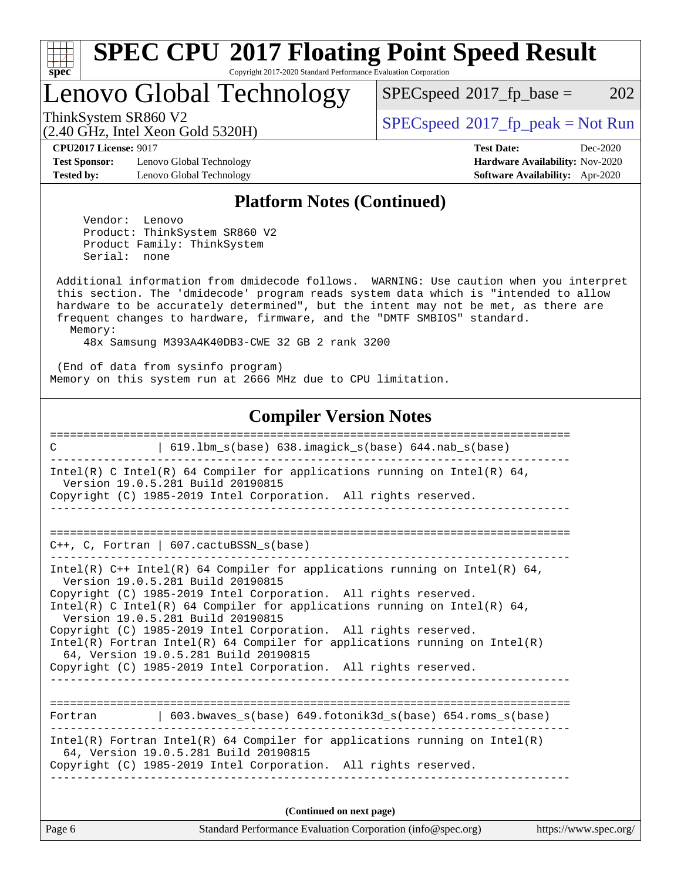

# **[SPEC CPU](http://www.spec.org/auto/cpu2017/Docs/result-fields.html#SPECCPU2017FloatingPointSpeedResult)[2017 Floating Point Speed Result](http://www.spec.org/auto/cpu2017/Docs/result-fields.html#SPECCPU2017FloatingPointSpeedResult)**

Copyright 2017-2020 Standard Performance Evaluation Corporation

Lenovo Global Technology

 $SPECspeed^{\circledcirc}2017_fp\_base = 202$  $SPECspeed^{\circledcirc}2017_fp\_base = 202$ 

(2.40 GHz, Intel Xeon Gold 5320H)

ThinkSystem SR860 V2<br>  $\begin{array}{c} \text{SPEC speed} \text{?}2017 \text{ fp\_peak} = \text{Not Run} \\ \text{SPEC speed} \text{?}2017 \text{ fp\_peak} = \text{Not Run} \end{array}$ 

**[CPU2017 License:](http://www.spec.org/auto/cpu2017/Docs/result-fields.html#CPU2017License)** 9017 **[Test Date:](http://www.spec.org/auto/cpu2017/Docs/result-fields.html#TestDate)** Dec-2020

**[Test Sponsor:](http://www.spec.org/auto/cpu2017/Docs/result-fields.html#TestSponsor)** Lenovo Global Technology **[Hardware Availability:](http://www.spec.org/auto/cpu2017/Docs/result-fields.html#HardwareAvailability)** Nov-2020 **[Tested by:](http://www.spec.org/auto/cpu2017/Docs/result-fields.html#Testedby)** Lenovo Global Technology **[Software Availability:](http://www.spec.org/auto/cpu2017/Docs/result-fields.html#SoftwareAvailability)** Apr-2020

#### **[Platform Notes \(Continued\)](http://www.spec.org/auto/cpu2017/Docs/result-fields.html#PlatformNotes)**

 Vendor: Lenovo Product: ThinkSystem SR860 V2 Product Family: ThinkSystem Serial: none

 Additional information from dmidecode follows. WARNING: Use caution when you interpret this section. The 'dmidecode' program reads system data which is "intended to allow hardware to be accurately determined", but the intent may not be met, as there are frequent changes to hardware, firmware, and the "DMTF SMBIOS" standard. Memory:

48x Samsung M393A4K40DB3-CWE 32 GB 2 rank 3200

 (End of data from sysinfo program) Memory on this system run at 2666 MHz due to CPU limitation.

#### **[Compiler Version Notes](http://www.spec.org/auto/cpu2017/Docs/result-fields.html#CompilerVersionNotes)**

| 619.1bm_s(base) 638.imagick_s(base) 644.nab_s(base)<br>C                                                                                                                                                                                                                                                                                                                                                                                                                                                                                                           |  |  |  |  |
|--------------------------------------------------------------------------------------------------------------------------------------------------------------------------------------------------------------------------------------------------------------------------------------------------------------------------------------------------------------------------------------------------------------------------------------------------------------------------------------------------------------------------------------------------------------------|--|--|--|--|
| Intel(R) C Intel(R) 64 Compiler for applications running on Intel(R) 64,<br>Version 19.0.5.281 Build 20190815<br>Copyright (C) 1985-2019 Intel Corporation. All rights reserved.                                                                                                                                                                                                                                                                                                                                                                                   |  |  |  |  |
|                                                                                                                                                                                                                                                                                                                                                                                                                                                                                                                                                                    |  |  |  |  |
| $C_{++}$ , C, Fortran   607. cactuBSSN $s(base)$                                                                                                                                                                                                                                                                                                                                                                                                                                                                                                                   |  |  |  |  |
| Intel(R) $C++$ Intel(R) 64 Compiler for applications running on Intel(R) 64,<br>Version 19.0.5.281 Build 20190815<br>Copyright (C) 1985-2019 Intel Corporation. All rights reserved.<br>Intel(R) C Intel(R) 64 Compiler for applications running on Intel(R) 64,<br>Version 19.0.5.281 Build 20190815<br>Copyright (C) 1985-2019 Intel Corporation. All rights reserved.<br>Intel(R) Fortran Intel(R) 64 Compiler for applications running on Intel(R)<br>64, Version 19.0.5.281 Build 20190815<br>Copyright (C) 1985-2019 Intel Corporation. All rights reserved. |  |  |  |  |
| Fortran (603.bwaves s(base) 649.fotonik3d s(base) 654.roms s(base)                                                                                                                                                                                                                                                                                                                                                                                                                                                                                                 |  |  |  |  |
| Intel(R) Fortran Intel(R) 64 Compiler for applications running on Intel(R)<br>64, Version 19.0.5.281 Build 20190815<br>Copyright (C) 1985-2019 Intel Corporation. All rights reserved.                                                                                                                                                                                                                                                                                                                                                                             |  |  |  |  |
| (Continued on next page)                                                                                                                                                                                                                                                                                                                                                                                                                                                                                                                                           |  |  |  |  |

| Page 6 | Standard Performance Evaluation Corporation (info@spec.org) |  | https://www.spec.org/ |
|--------|-------------------------------------------------------------|--|-----------------------|
|--------|-------------------------------------------------------------|--|-----------------------|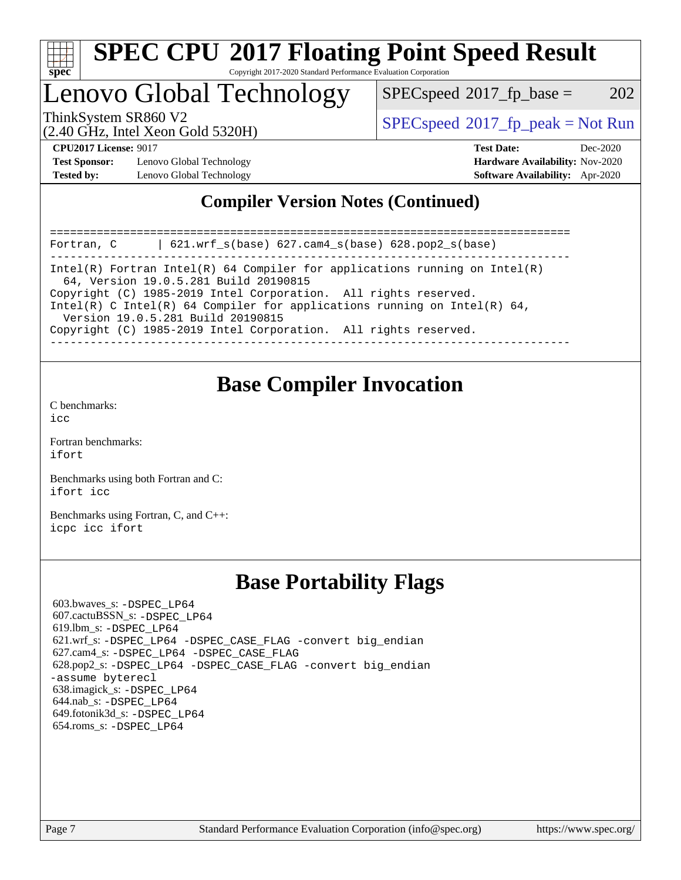

### Lenovo Global Technology

 $SPEC speed^{\circ}2017\_fp\_base = 202$ 

(2.40 GHz, Intel Xeon Gold 5320H)

ThinkSystem SR860 V2  $\begin{array}{c} \text{SPEC speed} \textdegree 2017 \text{ fp\_peak} = \text{Not Run} \end{array}$ 

**[Test Sponsor:](http://www.spec.org/auto/cpu2017/Docs/result-fields.html#TestSponsor)** Lenovo Global Technology **[Hardware Availability:](http://www.spec.org/auto/cpu2017/Docs/result-fields.html#HardwareAvailability)** Nov-2020 **[Tested by:](http://www.spec.org/auto/cpu2017/Docs/result-fields.html#Testedby)** Lenovo Global Technology **[Software Availability:](http://www.spec.org/auto/cpu2017/Docs/result-fields.html#SoftwareAvailability)** Apr-2020

**[CPU2017 License:](http://www.spec.org/auto/cpu2017/Docs/result-fields.html#CPU2017License)** 9017 **[Test Date:](http://www.spec.org/auto/cpu2017/Docs/result-fields.html#TestDate)** Dec-2020

### **[Compiler Version Notes \(Continued\)](http://www.spec.org/auto/cpu2017/Docs/result-fields.html#CompilerVersionNotes)**

============================================================================== Fortran, C | 621.wrf\_s(base) 627.cam4\_s(base) 628.pop2\_s(base) ------------------------------------------------------------------------------ Intel(R) Fortran Intel(R) 64 Compiler for applications running on Intel(R) 64, Version 19.0.5.281 Build 20190815 Copyright (C) 1985-2019 Intel Corporation. All rights reserved. Intel(R) C Intel(R) 64 Compiler for applications running on Intel(R)  $64$ , Version 19.0.5.281 Build 20190815 Copyright (C) 1985-2019 Intel Corporation. All rights reserved. ------------------------------------------------------------------------------

### **[Base Compiler Invocation](http://www.spec.org/auto/cpu2017/Docs/result-fields.html#BaseCompilerInvocation)**

[C benchmarks](http://www.spec.org/auto/cpu2017/Docs/result-fields.html#Cbenchmarks):  $i$ cc

[Fortran benchmarks](http://www.spec.org/auto/cpu2017/Docs/result-fields.html#Fortranbenchmarks): [ifort](http://www.spec.org/cpu2017/results/res2020q4/cpu2017-20201207-24542.flags.html#user_FCbase_intel_ifort_8111460550e3ca792625aed983ce982f94888b8b503583aa7ba2b8303487b4d8a21a13e7191a45c5fd58ff318f48f9492884d4413fa793fd88dd292cad7027ca)

[Benchmarks using both Fortran and C](http://www.spec.org/auto/cpu2017/Docs/result-fields.html#BenchmarksusingbothFortranandC): [ifort](http://www.spec.org/cpu2017/results/res2020q4/cpu2017-20201207-24542.flags.html#user_CC_FCbase_intel_ifort_8111460550e3ca792625aed983ce982f94888b8b503583aa7ba2b8303487b4d8a21a13e7191a45c5fd58ff318f48f9492884d4413fa793fd88dd292cad7027ca) [icc](http://www.spec.org/cpu2017/results/res2020q4/cpu2017-20201207-24542.flags.html#user_CC_FCbase_intel_icc_66fc1ee009f7361af1fbd72ca7dcefbb700085f36577c54f309893dd4ec40d12360134090235512931783d35fd58c0460139e722d5067c5574d8eaf2b3e37e92)

[Benchmarks using Fortran, C, and C++:](http://www.spec.org/auto/cpu2017/Docs/result-fields.html#BenchmarksusingFortranCandCXX) [icpc](http://www.spec.org/cpu2017/results/res2020q4/cpu2017-20201207-24542.flags.html#user_CC_CXX_FCbase_intel_icpc_c510b6838c7f56d33e37e94d029a35b4a7bccf4766a728ee175e80a419847e808290a9b78be685c44ab727ea267ec2f070ec5dc83b407c0218cded6866a35d07) [icc](http://www.spec.org/cpu2017/results/res2020q4/cpu2017-20201207-24542.flags.html#user_CC_CXX_FCbase_intel_icc_66fc1ee009f7361af1fbd72ca7dcefbb700085f36577c54f309893dd4ec40d12360134090235512931783d35fd58c0460139e722d5067c5574d8eaf2b3e37e92) [ifort](http://www.spec.org/cpu2017/results/res2020q4/cpu2017-20201207-24542.flags.html#user_CC_CXX_FCbase_intel_ifort_8111460550e3ca792625aed983ce982f94888b8b503583aa7ba2b8303487b4d8a21a13e7191a45c5fd58ff318f48f9492884d4413fa793fd88dd292cad7027ca)

### **[Base Portability Flags](http://www.spec.org/auto/cpu2017/Docs/result-fields.html#BasePortabilityFlags)**

 603.bwaves\_s: [-DSPEC\\_LP64](http://www.spec.org/cpu2017/results/res2020q4/cpu2017-20201207-24542.flags.html#suite_basePORTABILITY603_bwaves_s_DSPEC_LP64) 607.cactuBSSN\_s: [-DSPEC\\_LP64](http://www.spec.org/cpu2017/results/res2020q4/cpu2017-20201207-24542.flags.html#suite_basePORTABILITY607_cactuBSSN_s_DSPEC_LP64) 619.lbm\_s: [-DSPEC\\_LP64](http://www.spec.org/cpu2017/results/res2020q4/cpu2017-20201207-24542.flags.html#suite_basePORTABILITY619_lbm_s_DSPEC_LP64) 621.wrf\_s: [-DSPEC\\_LP64](http://www.spec.org/cpu2017/results/res2020q4/cpu2017-20201207-24542.flags.html#suite_basePORTABILITY621_wrf_s_DSPEC_LP64) [-DSPEC\\_CASE\\_FLAG](http://www.spec.org/cpu2017/results/res2020q4/cpu2017-20201207-24542.flags.html#b621.wrf_s_baseCPORTABILITY_DSPEC_CASE_FLAG) [-convert big\\_endian](http://www.spec.org/cpu2017/results/res2020q4/cpu2017-20201207-24542.flags.html#user_baseFPORTABILITY621_wrf_s_convert_big_endian_c3194028bc08c63ac5d04de18c48ce6d347e4e562e8892b8bdbdc0214820426deb8554edfa529a3fb25a586e65a3d812c835984020483e7e73212c4d31a38223) 627.cam4\_s: [-DSPEC\\_LP64](http://www.spec.org/cpu2017/results/res2020q4/cpu2017-20201207-24542.flags.html#suite_basePORTABILITY627_cam4_s_DSPEC_LP64) [-DSPEC\\_CASE\\_FLAG](http://www.spec.org/cpu2017/results/res2020q4/cpu2017-20201207-24542.flags.html#b627.cam4_s_baseCPORTABILITY_DSPEC_CASE_FLAG) 628.pop2\_s: [-DSPEC\\_LP64](http://www.spec.org/cpu2017/results/res2020q4/cpu2017-20201207-24542.flags.html#suite_basePORTABILITY628_pop2_s_DSPEC_LP64) [-DSPEC\\_CASE\\_FLAG](http://www.spec.org/cpu2017/results/res2020q4/cpu2017-20201207-24542.flags.html#b628.pop2_s_baseCPORTABILITY_DSPEC_CASE_FLAG) [-convert big\\_endian](http://www.spec.org/cpu2017/results/res2020q4/cpu2017-20201207-24542.flags.html#user_baseFPORTABILITY628_pop2_s_convert_big_endian_c3194028bc08c63ac5d04de18c48ce6d347e4e562e8892b8bdbdc0214820426deb8554edfa529a3fb25a586e65a3d812c835984020483e7e73212c4d31a38223) [-assume byterecl](http://www.spec.org/cpu2017/results/res2020q4/cpu2017-20201207-24542.flags.html#user_baseFPORTABILITY628_pop2_s_assume_byterecl_7e47d18b9513cf18525430bbf0f2177aa9bf368bc7a059c09b2c06a34b53bd3447c950d3f8d6c70e3faf3a05c8557d66a5798b567902e8849adc142926523472) 638.imagick\_s: [-DSPEC\\_LP64](http://www.spec.org/cpu2017/results/res2020q4/cpu2017-20201207-24542.flags.html#suite_basePORTABILITY638_imagick_s_DSPEC_LP64) 644.nab\_s: [-DSPEC\\_LP64](http://www.spec.org/cpu2017/results/res2020q4/cpu2017-20201207-24542.flags.html#suite_basePORTABILITY644_nab_s_DSPEC_LP64) 649.fotonik3d\_s: [-DSPEC\\_LP64](http://www.spec.org/cpu2017/results/res2020q4/cpu2017-20201207-24542.flags.html#suite_basePORTABILITY649_fotonik3d_s_DSPEC_LP64) 654.roms\_s: [-DSPEC\\_LP64](http://www.spec.org/cpu2017/results/res2020q4/cpu2017-20201207-24542.flags.html#suite_basePORTABILITY654_roms_s_DSPEC_LP64)